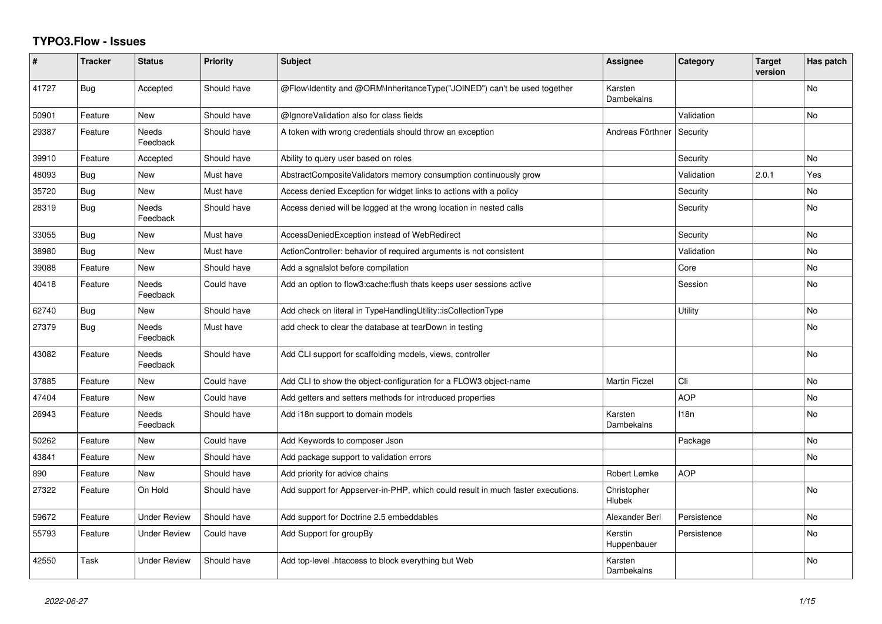## **TYPO3.Flow - Issues**

| ∦     | <b>Tracker</b> | <b>Status</b>       | <b>Priority</b> | <b>Subject</b>                                                                  | Assignee               | Category    | <b>Target</b><br>version | Has patch      |
|-------|----------------|---------------------|-----------------|---------------------------------------------------------------------------------|------------------------|-------------|--------------------------|----------------|
| 41727 | Bug            | Accepted            | Should have     | @Flow\Identity and @ORM\InheritanceType("JOINED") can't be used together        | Karsten<br>Dambekalns  |             |                          | <b>No</b>      |
| 50901 | Feature        | <b>New</b>          | Should have     | @IgnoreValidation also for class fields                                         |                        | Validation  |                          | No             |
| 29387 | Feature        | Needs<br>Feedback   | Should have     | A token with wrong credentials should throw an exception                        | Andreas Förthner       | Security    |                          |                |
| 39910 | Feature        | Accepted            | Should have     | Ability to query user based on roles                                            |                        | Security    |                          | <b>No</b>      |
| 48093 | Bug            | <b>New</b>          | Must have       | AbstractCompositeValidators memory consumption continuously grow                |                        | Validation  | 2.0.1                    | Yes            |
| 35720 | Bug            | New                 | Must have       | Access denied Exception for widget links to actions with a policy               |                        | Security    |                          | No             |
| 28319 | Bug            | Needs<br>Feedback   | Should have     | Access denied will be logged at the wrong location in nested calls              |                        | Security    |                          | No             |
| 33055 | Bug            | <b>New</b>          | Must have       | AccessDeniedException instead of WebRedirect                                    |                        | Security    |                          | No             |
| 38980 | Bug            | <b>New</b>          | Must have       | ActionController: behavior of required arguments is not consistent              |                        | Validation  |                          | No             |
| 39088 | Feature        | <b>New</b>          | Should have     | Add a sgnalslot before compilation                                              |                        | Core        |                          | No             |
| 40418 | Feature        | Needs<br>Feedback   | Could have      | Add an option to flow3: cache: flush thats keeps user sessions active           |                        | Session     |                          | <b>No</b>      |
| 62740 | Bug            | <b>New</b>          | Should have     | Add check on literal in TypeHandlingUtility::isCollectionType                   |                        | Utility     |                          | <b>No</b>      |
| 27379 | Bug            | Needs<br>Feedback   | Must have       | add check to clear the database at tearDown in testing                          |                        |             |                          | No.            |
| 43082 | Feature        | Needs<br>Feedback   | Should have     | Add CLI support for scaffolding models, views, controller                       |                        |             |                          | <b>No</b>      |
| 37885 | Feature        | <b>New</b>          | Could have      | Add CLI to show the object-configuration for a FLOW3 object-name                | <b>Martin Ficzel</b>   | Cli         |                          | No             |
| 47404 | Feature        | <b>New</b>          | Could have      | Add getters and setters methods for introduced properties                       |                        | <b>AOP</b>  |                          | N <sub>o</sub> |
| 26943 | Feature        | Needs<br>Feedback   | Should have     | Add i18n support to domain models                                               | Karsten<br>Dambekalns  | 118n        |                          | No             |
| 50262 | Feature        | <b>New</b>          | Could have      | Add Keywords to composer Json                                                   |                        | Package     |                          | No.            |
| 43841 | Feature        | <b>New</b>          | Should have     | Add package support to validation errors                                        |                        |             |                          | No             |
| 890   | Feature        | <b>New</b>          | Should have     | Add priority for advice chains                                                  | Robert Lemke           | <b>AOP</b>  |                          |                |
| 27322 | Feature        | On Hold             | Should have     | Add support for Appserver-in-PHP, which could result in much faster executions. | Christopher<br>Hlubek  |             |                          | <b>No</b>      |
| 59672 | Feature        | <b>Under Review</b> | Should have     | Add support for Doctrine 2.5 embeddables                                        | Alexander Berl         | Persistence |                          | No             |
| 55793 | Feature        | <b>Under Review</b> | Could have      | Add Support for groupBy                                                         | Kerstin<br>Huppenbauer | Persistence |                          | N <sub>o</sub> |
| 42550 | Task           | <b>Under Review</b> | Should have     | Add top-level .htaccess to block everything but Web                             | Karsten<br>Dambekalns  |             |                          | N <sub>o</sub> |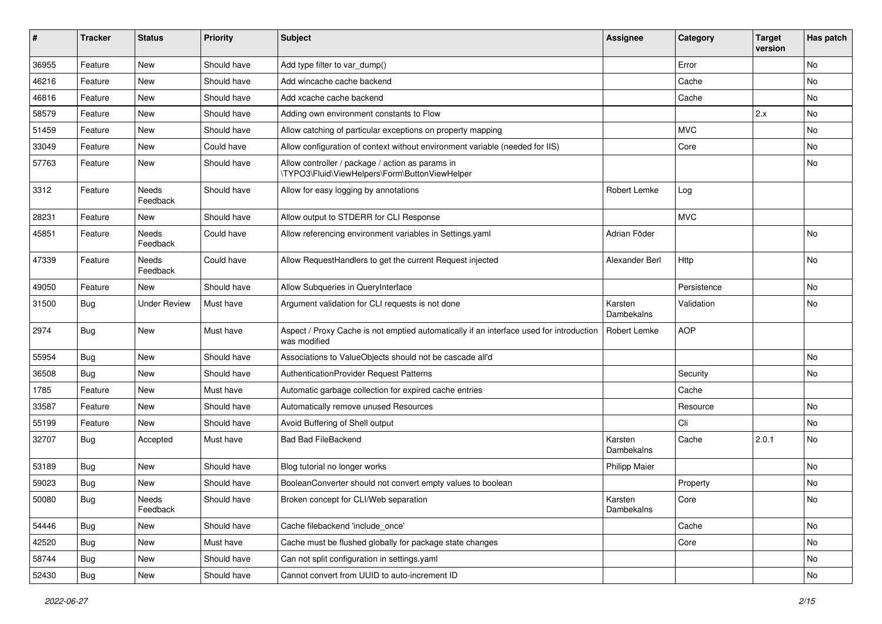| #     | <b>Tracker</b> | <b>Status</b>     | <b>Priority</b> | <b>Subject</b>                                                                                          | <b>Assignee</b>       | Category    | <b>Target</b><br>version | Has patch |
|-------|----------------|-------------------|-----------------|---------------------------------------------------------------------------------------------------------|-----------------------|-------------|--------------------------|-----------|
| 36955 | Feature        | <b>New</b>        | Should have     | Add type filter to var_dump()                                                                           |                       | Error       |                          | No        |
| 46216 | Feature        | New               | Should have     | Add wincache cache backend                                                                              |                       | Cache       |                          | No        |
| 46816 | Feature        | New               | Should have     | Add xcache cache backend                                                                                |                       | Cache       |                          | No        |
| 58579 | Feature        | New               | Should have     | Adding own environment constants to Flow                                                                |                       |             | 2.x                      | No        |
| 51459 | Feature        | New               | Should have     | Allow catching of particular exceptions on property mapping                                             |                       | <b>MVC</b>  |                          | No        |
| 33049 | Feature        | <b>New</b>        | Could have      | Allow configuration of context without environment variable (needed for IIS)                            |                       | Core        |                          | No        |
| 57763 | Feature        | New               | Should have     | Allow controller / package / action as params in<br>\TYPO3\Fluid\ViewHelpers\Form\ButtonViewHelper      |                       |             |                          | No        |
| 3312  | Feature        | Needs<br>Feedback | Should have     | Allow for easy logging by annotations                                                                   | Robert Lemke          | Log         |                          |           |
| 28231 | Feature        | New               | Should have     | Allow output to STDERR for CLI Response                                                                 |                       | <b>MVC</b>  |                          |           |
| 45851 | Feature        | Needs<br>Feedback | Could have      | Allow referencing environment variables in Settings.yaml                                                | Adrian Föder          |             |                          | No        |
| 47339 | Feature        | Needs<br>Feedback | Could have      | Allow RequestHandlers to get the current Request injected                                               | Alexander Berl        | Http        |                          | No        |
| 49050 | Feature        | New               | Should have     | Allow Subqueries in QueryInterface                                                                      |                       | Persistence |                          | No        |
| 31500 | Bug            | Under Review      | Must have       | Argument validation for CLI requests is not done                                                        | Karsten<br>Dambekalns | Validation  |                          | No        |
| 2974  | Bug            | New               | Must have       | Aspect / Proxy Cache is not emptied automatically if an interface used for introduction<br>was modified | <b>Robert Lemke</b>   | <b>AOP</b>  |                          |           |
| 55954 | Bug            | <b>New</b>        | Should have     | Associations to ValueObjects should not be cascade all'd                                                |                       |             |                          | No        |
| 36508 | Bug            | New               | Should have     | AuthenticationProvider Request Patterns                                                                 |                       | Security    |                          | No        |
| 1785  | Feature        | New               | Must have       | Automatic garbage collection for expired cache entries                                                  |                       | Cache       |                          |           |
| 33587 | Feature        | New               | Should have     | Automatically remove unused Resources                                                                   |                       | Resource    |                          | No        |
| 55199 | Feature        | New               | Should have     | Avoid Buffering of Shell output                                                                         |                       | Cli         |                          | No.       |
| 32707 | Bug            | Accepted          | Must have       | <b>Bad Bad FileBackend</b>                                                                              | Karsten<br>Dambekalns | Cache       | 2.0.1                    | No        |
| 53189 | Bug            | <b>New</b>        | Should have     | Blog tutorial no longer works                                                                           | <b>Philipp Maier</b>  |             |                          | No        |
| 59023 | Bug            | New               | Should have     | BooleanConverter should not convert empty values to boolean                                             |                       | Property    |                          | No        |
| 50080 | Bug            | Needs<br>Feedback | Should have     | Broken concept for CLI/Web separation                                                                   | Karsten<br>Dambekalns | Core        |                          | INO.      |
| 54446 | Bug            | New               | Should have     | Cache filebackend 'include_once'                                                                        |                       | Cache       |                          | No        |
| 42520 | Bug            | <b>New</b>        | Must have       | Cache must be flushed globally for package state changes                                                |                       | Core        |                          | No        |
| 58744 | Bug            | New               | Should have     | Can not split configuration in settings.yaml                                                            |                       |             |                          | No        |
| 52430 | Bug            | New               | Should have     | Cannot convert from UUID to auto-increment ID                                                           |                       |             |                          | No        |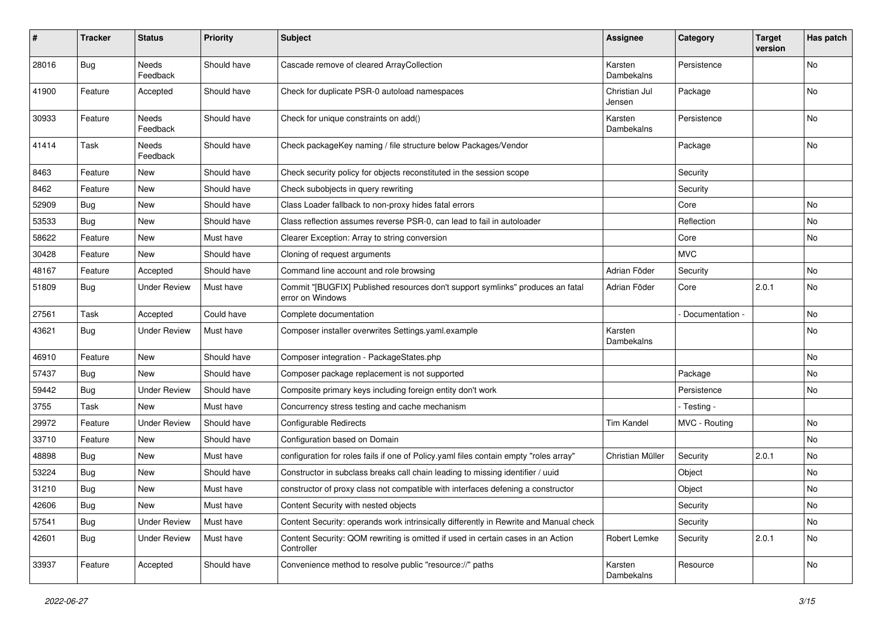| #     | <b>Tracker</b> | <b>Status</b>            | <b>Priority</b> | <b>Subject</b>                                                                                     | <b>Assignee</b>         | Category        | <b>Target</b><br>version | Has patch |
|-------|----------------|--------------------------|-----------------|----------------------------------------------------------------------------------------------------|-------------------------|-----------------|--------------------------|-----------|
| 28016 | Bug            | Needs<br>Feedback        | Should have     | Cascade remove of cleared ArrayCollection                                                          | Karsten<br>Dambekalns   | Persistence     |                          | No        |
| 41900 | Feature        | Accepted                 | Should have     | Check for duplicate PSR-0 autoload namespaces                                                      | Christian Jul<br>Jensen | Package         |                          | No        |
| 30933 | Feature        | Needs<br>Feedback        | Should have     | Check for unique constraints on add()                                                              | Karsten<br>Dambekalns   | Persistence     |                          | No        |
| 41414 | Task           | <b>Needs</b><br>Feedback | Should have     | Check packageKey naming / file structure below Packages/Vendor                                     |                         | Package         |                          | <b>No</b> |
| 8463  | Feature        | New                      | Should have     | Check security policy for objects reconstituted in the session scope                               |                         | Security        |                          |           |
| 8462  | Feature        | New                      | Should have     | Check subobjects in query rewriting                                                                |                         | Security        |                          |           |
| 52909 | <b>Bug</b>     | New                      | Should have     | Class Loader fallback to non-proxy hides fatal errors                                              |                         | Core            |                          | No        |
| 53533 | Bug            | New                      | Should have     | Class reflection assumes reverse PSR-0, can lead to fail in autoloader                             |                         | Reflection      |                          | No        |
| 58622 | Feature        | <b>New</b>               | Must have       | Clearer Exception: Array to string conversion                                                      |                         | Core            |                          | No        |
| 30428 | Feature        | New                      | Should have     | Cloning of request arguments                                                                       |                         | <b>MVC</b>      |                          |           |
| 48167 | Feature        | Accepted                 | Should have     | Command line account and role browsing                                                             | Adrian Föder            | Security        |                          | No        |
| 51809 | <b>Bug</b>     | <b>Under Review</b>      | Must have       | Commit "[BUGFIX] Published resources don't support symlinks" produces an fatal<br>error on Windows | Adrian Föder            | Core            | 2.0.1                    | No        |
| 27561 | Task           | Accepted                 | Could have      | Complete documentation                                                                             |                         | Documentation - |                          | <b>No</b> |
| 43621 | <b>Bug</b>     | <b>Under Review</b>      | Must have       | Composer installer overwrites Settings.yaml.example                                                | Karsten<br>Dambekalns   |                 |                          | No        |
| 46910 | Feature        | New                      | Should have     | Composer integration - PackageStates.php                                                           |                         |                 |                          | <b>No</b> |
| 57437 | <b>Bug</b>     | New                      | Should have     | Composer package replacement is not supported                                                      |                         | Package         |                          | No        |
| 59442 | Bug            | <b>Under Review</b>      | Should have     | Composite primary keys including foreign entity don't work                                         |                         | Persistence     |                          | No        |
| 3755  | Task           | New                      | Must have       | Concurrency stress testing and cache mechanism                                                     |                         | - Testing -     |                          |           |
| 29972 | Feature        | <b>Under Review</b>      | Should have     | <b>Configurable Redirects</b>                                                                      | <b>Tim Kandel</b>       | MVC - Routing   |                          | No        |
| 33710 | Feature        | <b>New</b>               | Should have     | Configuration based on Domain                                                                      |                         |                 |                          | <b>No</b> |
| 48898 | Bug            | New                      | Must have       | configuration for roles fails if one of Policy.yaml files contain empty "roles array"              | Christian Müller        | Security        | 2.0.1                    | No        |
| 53224 | Bug            | New                      | Should have     | Constructor in subclass breaks call chain leading to missing identifier / uuid                     |                         | Object          |                          | No        |
| 31210 | Bug            | New                      | Must have       | constructor of proxy class not compatible with interfaces defening a constructor                   |                         | Object          |                          | No        |
| 42606 | Bug            | <b>New</b>               | Must have       | Content Security with nested objects                                                               |                         | Security        |                          | No        |
| 57541 | <b>Bug</b>     | <b>Under Review</b>      | Must have       | Content Security: operands work intrinsically differently in Rewrite and Manual check              |                         | Security        |                          | No        |
| 42601 | Bug            | <b>Under Review</b>      | Must have       | Content Security: QOM rewriting is omitted if used in certain cases in an Action<br>Controller     | Robert Lemke            | Security        | 2.0.1                    | No        |
| 33937 | Feature        | Accepted                 | Should have     | Convenience method to resolve public "resource://" paths                                           | Karsten<br>Dambekalns   | Resource        |                          | No        |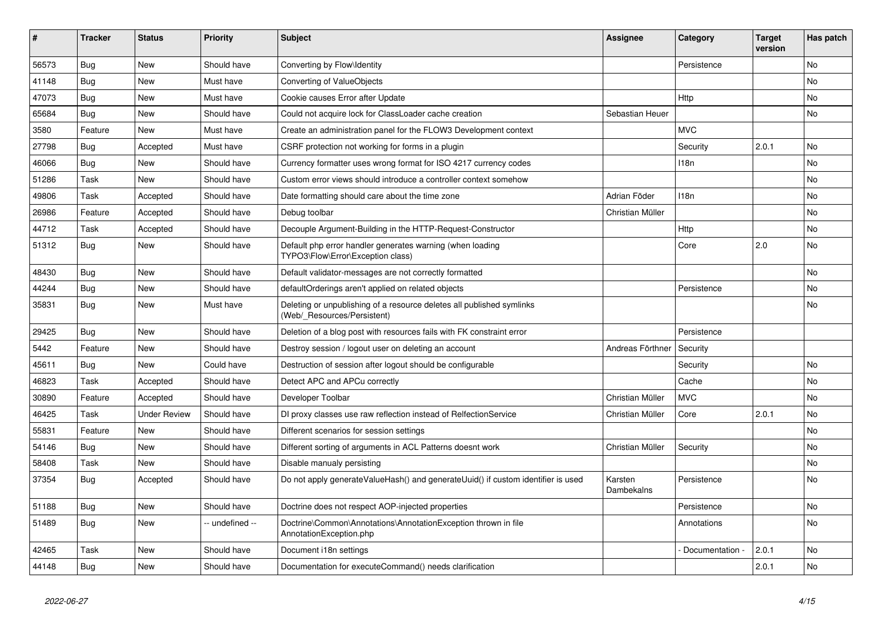| ∦     | <b>Tracker</b> | <b>Status</b>       | <b>Priority</b> | <b>Subject</b>                                                                                       | Assignee              | Category         | <b>Target</b><br>version | Has patch |
|-------|----------------|---------------------|-----------------|------------------------------------------------------------------------------------------------------|-----------------------|------------------|--------------------------|-----------|
| 56573 | Bug            | <b>New</b>          | Should have     | Converting by Flow\Identity                                                                          |                       | Persistence      |                          | <b>No</b> |
| 41148 | Bug            | <b>New</b>          | Must have       | Converting of ValueObjects                                                                           |                       |                  |                          | <b>No</b> |
| 47073 | Bug            | <b>New</b>          | Must have       | Cookie causes Error after Update                                                                     |                       | Http             |                          | <b>No</b> |
| 65684 | Bug            | <b>New</b>          | Should have     | Could not acquire lock for ClassLoader cache creation                                                | Sebastian Heuer       |                  |                          | <b>No</b> |
| 3580  | Feature        | <b>New</b>          | Must have       | Create an administration panel for the FLOW3 Development context                                     |                       | <b>MVC</b>       |                          |           |
| 27798 | <b>Bug</b>     | Accepted            | Must have       | CSRF protection not working for forms in a plugin                                                    |                       | Security         | 2.0.1                    | <b>No</b> |
| 46066 | Bug            | <b>New</b>          | Should have     | Currency formatter uses wrong format for ISO 4217 currency codes                                     |                       | 118n             |                          | <b>No</b> |
| 51286 | Task           | <b>New</b>          | Should have     | Custom error views should introduce a controller context somehow                                     |                       |                  |                          | <b>No</b> |
| 49806 | Task           | Accepted            | Should have     | Date formatting should care about the time zone                                                      | Adrian Föder          | 118 <sub>n</sub> |                          | <b>No</b> |
| 26986 | Feature        | Accepted            | Should have     | Debug toolbar                                                                                        | Christian Müller      |                  |                          | <b>No</b> |
| 44712 | Task           | Accepted            | Should have     | Decouple Argument-Building in the HTTP-Request-Constructor                                           |                       | Http             |                          | <b>No</b> |
| 51312 | Bug            | <b>New</b>          | Should have     | Default php error handler generates warning (when loading<br>TYPO3\Flow\Error\Exception class)       |                       | Core             | 2.0                      | <b>No</b> |
| 48430 | Bug            | <b>New</b>          | Should have     | Default validator-messages are not correctly formatted                                               |                       |                  |                          | <b>No</b> |
| 44244 | Bug            | <b>New</b>          | Should have     | defaultOrderings aren't applied on related objects                                                   |                       | Persistence      |                          | <b>No</b> |
| 35831 | Bug            | <b>New</b>          | Must have       | Deleting or unpublishing of a resource deletes all published symlinks<br>(Web/ Resources/Persistent) |                       |                  |                          | <b>No</b> |
| 29425 | Bug            | <b>New</b>          | Should have     | Deletion of a blog post with resources fails with FK constraint error                                |                       | Persistence      |                          |           |
| 5442  | Feature        | <b>New</b>          | Should have     | Destroy session / logout user on deleting an account                                                 | Andreas Förthner      | Security         |                          |           |
| 45611 | Bug            | <b>New</b>          | Could have      | Destruction of session after logout should be configurable                                           |                       | Security         |                          | <b>No</b> |
| 46823 | Task           | Accepted            | Should have     | Detect APC and APCu correctly                                                                        |                       | Cache            |                          | No        |
| 30890 | Feature        | Accepted            | Should have     | Developer Toolbar                                                                                    | Christian Müller      | <b>MVC</b>       |                          | <b>No</b> |
| 46425 | Task           | <b>Under Review</b> | Should have     | DI proxy classes use raw reflection instead of RelfectionService                                     | Christian Müller      | Core             | 2.0.1                    | No        |
| 55831 | Feature        | <b>New</b>          | Should have     | Different scenarios for session settings                                                             |                       |                  |                          | <b>No</b> |
| 54146 | <b>Bug</b>     | <b>New</b>          | Should have     | Different sorting of arguments in ACL Patterns doesnt work                                           | Christian Müller      | Security         |                          | No        |
| 58408 | Task           | <b>New</b>          | Should have     | Disable manualy persisting                                                                           |                       |                  |                          | <b>No</b> |
| 37354 | Bug            | Accepted            | Should have     | Do not apply generateValueHash() and generateUuid() if custom identifier is used                     | Karsten<br>Dambekalns | Persistence      |                          | No        |
| 51188 | Bug            | <b>New</b>          | Should have     | Doctrine does not respect AOP-injected properties                                                    |                       | Persistence      |                          | No        |
| 51489 | Bug            | <b>New</b>          | -- undefined -- | Doctrine\Common\Annotations\AnnotationException thrown in file<br>AnnotationException.php            |                       | Annotations      |                          | No        |
| 42465 | Task           | <b>New</b>          | Should have     | Document i18n settings                                                                               |                       | Documentation    | 2.0.1                    | <b>No</b> |
| 44148 | <b>Bug</b>     | <b>New</b>          | Should have     | Documentation for executeCommand() needs clarification                                               |                       |                  | 2.0.1                    | No        |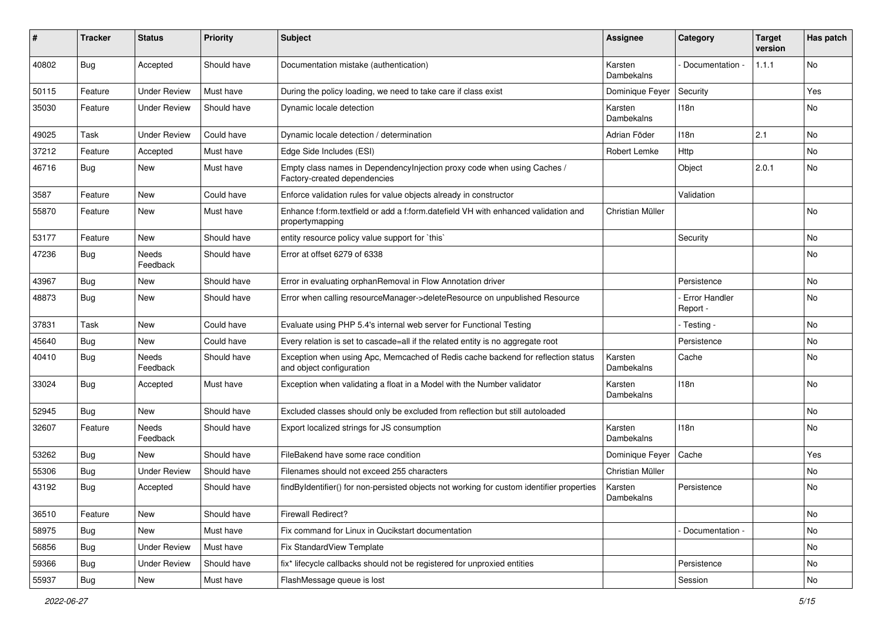| ∦     | <b>Tracker</b> | <b>Status</b>            | <b>Priority</b> | <b>Subject</b>                                                                                               | <b>Assignee</b>              | Category                  | <b>Target</b><br>version | Has patch |
|-------|----------------|--------------------------|-----------------|--------------------------------------------------------------------------------------------------------------|------------------------------|---------------------------|--------------------------|-----------|
| 40802 | Bug            | Accepted                 | Should have     | Documentation mistake (authentication)                                                                       | Karsten<br>Dambekalns        | Documentation -           | 1.1.1                    | No        |
| 50115 | Feature        | <b>Under Review</b>      | Must have       | During the policy loading, we need to take care if class exist                                               | Dominique Feyer              | Security                  |                          | Yes       |
| 35030 | Feature        | <b>Under Review</b>      | Should have     | Dynamic locale detection                                                                                     | Karsten<br>Dambekalns        | 118n                      |                          | No        |
| 49025 | Task           | <b>Under Review</b>      | Could have      | Dynamic locale detection / determination                                                                     | Adrian Föder                 | 118n                      | 2.1                      | <b>No</b> |
| 37212 | Feature        | Accepted                 | Must have       | Edge Side Includes (ESI)                                                                                     | Robert Lemke                 | Http                      |                          | No        |
| 46716 | <b>Bug</b>     | New                      | Must have       | Empty class names in Dependencylnjection proxy code when using Caches /<br>Factory-created dependencies      |                              | Object                    | 2.0.1                    | No        |
| 3587  | Feature        | <b>New</b>               | Could have      | Enforce validation rules for value objects already in constructor                                            |                              | Validation                |                          |           |
| 55870 | Feature        | New                      | Must have       | Enhance f:form.textfield or add a f:form.datefield VH with enhanced validation and<br>propertymapping        | Christian Müller             |                           |                          | No        |
| 53177 | Feature        | <b>New</b>               | Should have     | entity resource policy value support for `this`                                                              |                              | Security                  |                          | <b>No</b> |
| 47236 | <b>Bug</b>     | <b>Needs</b><br>Feedback | Should have     | Error at offset 6279 of 6338                                                                                 |                              |                           |                          | No        |
| 43967 | Bug            | New                      | Should have     | Error in evaluating orphanRemoval in Flow Annotation driver                                                  |                              | Persistence               |                          | No        |
| 48873 | Bug            | New                      | Should have     | Error when calling resourceManager->deleteResource on unpublished Resource                                   |                              | Error Handler<br>Report - |                          | No        |
| 37831 | Task           | <b>New</b>               | Could have      | Evaluate using PHP 5.4's internal web server for Functional Testing                                          |                              | - Testing -               |                          | <b>No</b> |
| 45640 | Bug            | New                      | Could have      | Every relation is set to cascade=all if the related entity is no aggregate root                              |                              | Persistence               |                          | No        |
| 40410 | <b>Bug</b>     | Needs<br>Feedback        | Should have     | Exception when using Apc, Memcached of Redis cache backend for reflection status<br>and object configuration | Karsten<br><b>Dambekalns</b> | Cache                     |                          | No        |
| 33024 | Bug            | Accepted                 | Must have       | Exception when validating a float in a Model with the Number validator                                       | Karsten<br>Dambekalns        | 118n                      |                          | No        |
| 52945 | Bug            | New                      | Should have     | Excluded classes should only be excluded from reflection but still autoloaded                                |                              |                           |                          | <b>No</b> |
| 32607 | Feature        | Needs<br>Feedback        | Should have     | Export localized strings for JS consumption                                                                  | Karsten<br>Dambekalns        | 118n                      |                          | No        |
| 53262 | Bug            | New                      | Should have     | FileBakend have some race condition                                                                          | Dominique Feyer              | Cache                     |                          | Yes       |
| 55306 | <b>Bug</b>     | <b>Under Review</b>      | Should have     | Filenames should not exceed 255 characters                                                                   | Christian Müller             |                           |                          | No        |
| 43192 | <b>Bug</b>     | Accepted                 | Should have     | findByIdentifier() for non-persisted objects not working for custom identifier properties                    | Karsten<br>Dambekalns        | Persistence               |                          | No        |
| 36510 | Feature        | New                      | Should have     | Firewall Redirect?                                                                                           |                              |                           |                          | No        |
| 58975 | <b>Bug</b>     | New                      | Must have       | Fix command for Linux in Qucikstart documentation                                                            |                              | - Documentation -         |                          | No        |
| 56856 | <b>Bug</b>     | <b>Under Review</b>      | Must have       | Fix StandardView Template                                                                                    |                              |                           |                          | No        |
| 59366 | <b>Bug</b>     | <b>Under Review</b>      | Should have     | fix* lifecycle callbacks should not be registered for unproxied entities                                     |                              | Persistence               |                          | No        |
| 55937 | <b>Bug</b>     | New                      | Must have       | FlashMessage queue is lost                                                                                   |                              | Session                   |                          | No        |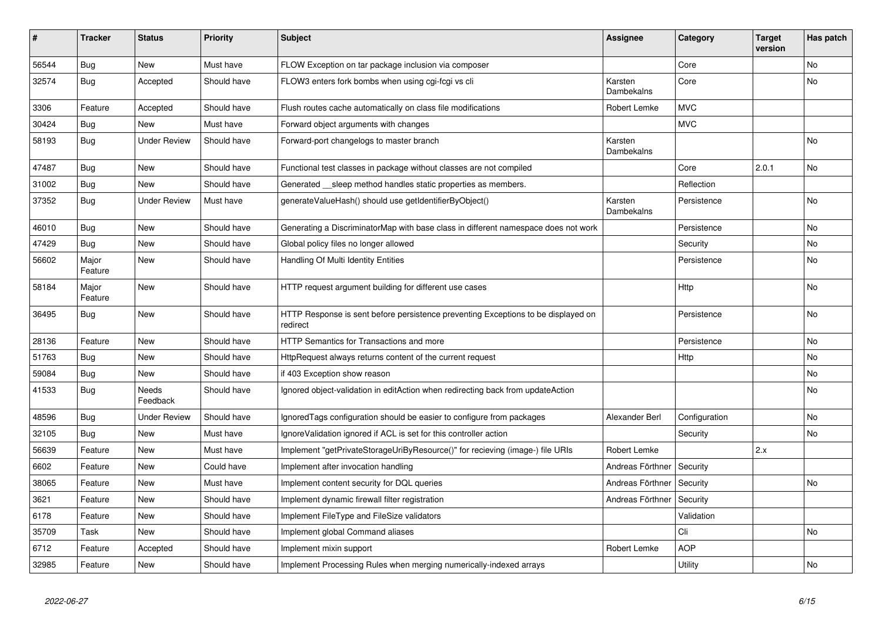| #     | <b>Tracker</b>   | <b>Status</b>       | <b>Priority</b> | <b>Subject</b>                                                                                | <b>Assignee</b>       | Category      | <b>Target</b><br>version | Has patch |
|-------|------------------|---------------------|-----------------|-----------------------------------------------------------------------------------------------|-----------------------|---------------|--------------------------|-----------|
| 56544 | Bug              | <b>New</b>          | Must have       | FLOW Exception on tar package inclusion via composer                                          |                       | Core          |                          | <b>No</b> |
| 32574 | Bug              | Accepted            | Should have     | FLOW3 enters fork bombs when using cgi-fcgi vs cli                                            | Karsten<br>Dambekalns | Core          |                          | <b>No</b> |
| 3306  | Feature          | Accepted            | Should have     | Flush routes cache automatically on class file modifications                                  | <b>Robert Lemke</b>   | <b>MVC</b>    |                          |           |
| 30424 | Bug              | <b>New</b>          | Must have       | Forward object arguments with changes                                                         |                       | <b>MVC</b>    |                          |           |
| 58193 | <b>Bug</b>       | <b>Under Review</b> | Should have     | Forward-port changelogs to master branch                                                      | Karsten<br>Dambekalns |               |                          | <b>No</b> |
| 47487 | Bug              | New                 | Should have     | Functional test classes in package without classes are not compiled                           |                       | Core          | 2.0.1                    | <b>No</b> |
| 31002 | Bug              | <b>New</b>          | Should have     | Generated __sleep method handles static properties as members.                                |                       | Reflection    |                          |           |
| 37352 | Bug              | <b>Under Review</b> | Must have       | generateValueHash() should use getIdentifierByObject()                                        | Karsten<br>Dambekalns | Persistence   |                          | <b>No</b> |
| 46010 | Bug              | <b>New</b>          | Should have     | Generating a DiscriminatorMap with base class in different namespace does not work            |                       | Persistence   |                          | No        |
| 47429 | <b>Bug</b>       | <b>New</b>          | Should have     | Global policy files no longer allowed                                                         |                       | Security      |                          | <b>No</b> |
| 56602 | Major<br>Feature | <b>New</b>          | Should have     | Handling Of Multi Identity Entities                                                           |                       | Persistence   |                          | <b>No</b> |
| 58184 | Major<br>Feature | <b>New</b>          | Should have     | HTTP request argument building for different use cases                                        |                       | <b>Http</b>   |                          | No        |
| 36495 | <b>Bug</b>       | <b>New</b>          | Should have     | HTTP Response is sent before persistence preventing Exceptions to be displayed on<br>redirect |                       | Persistence   |                          | No        |
| 28136 | Feature          | <b>New</b>          | Should have     | <b>HTTP Semantics for Transactions and more</b>                                               |                       | Persistence   |                          | No        |
| 51763 | <b>Bug</b>       | <b>New</b>          | Should have     | HttpRequest always returns content of the current request                                     |                       | Http          |                          | No        |
| 59084 | <b>Bug</b>       | <b>New</b>          | Should have     | if 403 Exception show reason                                                                  |                       |               |                          | No        |
| 41533 | <b>Bug</b>       | Needs<br>Feedback   | Should have     | Ignored object-validation in editAction when redirecting back from updateAction               |                       |               |                          | No        |
| 48596 | Bug              | <b>Under Review</b> | Should have     | IgnoredTags configuration should be easier to configure from packages                         | Alexander Berl        | Configuration |                          | <b>No</b> |
| 32105 | Bug              | New                 | Must have       | IgnoreValidation ignored if ACL is set for this controller action                             |                       | Security      |                          | No        |
| 56639 | Feature          | <b>New</b>          | Must have       | Implement "getPrivateStorageUriByResource()" for recieving (image-) file URIs                 | Robert Lemke          |               | 2.x                      |           |
| 6602  | Feature          | New                 | Could have      | Implement after invocation handling                                                           | Andreas Förthner      | Security      |                          |           |
| 38065 | Feature          | <b>New</b>          | Must have       | Implement content security for DQL queries                                                    | Andreas Förthner      | Security      |                          | No        |
| 3621  | Feature          | New                 | Should have     | Implement dynamic firewall filter registration                                                | Andreas Förthner      | Security      |                          |           |
| 6178  | Feature          | <b>New</b>          | Should have     | Implement FileType and FileSize validators                                                    |                       | Validation    |                          |           |
| 35709 | Task             | <b>New</b>          | Should have     | Implement global Command aliases                                                              |                       | Cli           |                          | No        |
| 6712  | Feature          | Accepted            | Should have     | Implement mixin support                                                                       | Robert Lemke          | <b>AOP</b>    |                          |           |
| 32985 | Feature          | New                 | Should have     | Implement Processing Rules when merging numerically-indexed arrays                            |                       | Utility       |                          | No        |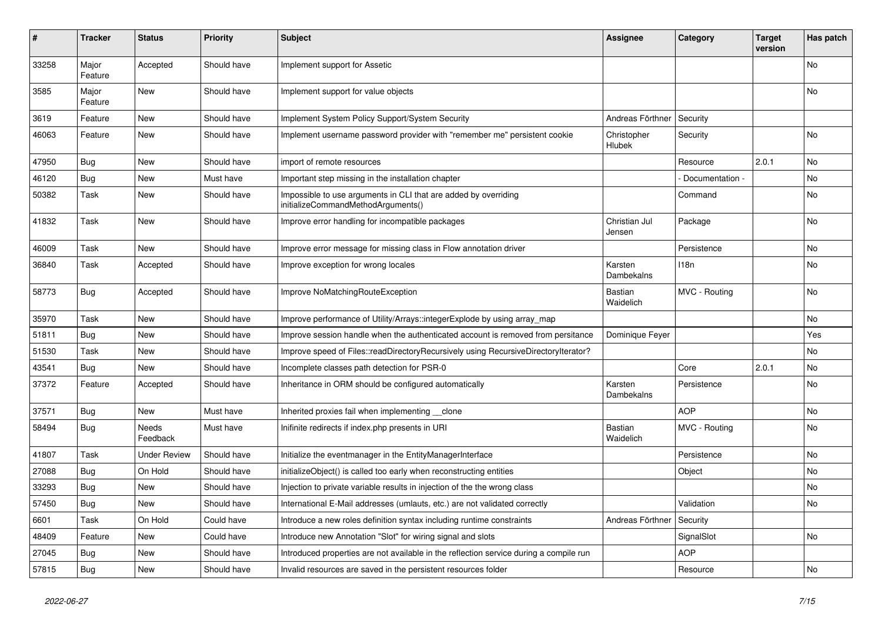| #     | <b>Tracker</b>   | <b>Status</b>       | <b>Priority</b> | <b>Subject</b>                                                                                        | <b>Assignee</b>             | Category         | Target<br>version | Has patch      |
|-------|------------------|---------------------|-----------------|-------------------------------------------------------------------------------------------------------|-----------------------------|------------------|-------------------|----------------|
| 33258 | Major<br>Feature | Accepted            | Should have     | Implement support for Assetic                                                                         |                             |                  |                   | No             |
| 3585  | Major<br>Feature | New                 | Should have     | Implement support for value objects                                                                   |                             |                  |                   | No             |
| 3619  | Feature          | <b>New</b>          | Should have     | Implement System Policy Support/System Security                                                       | Andreas Förthner            | Security         |                   |                |
| 46063 | Feature          | <b>New</b>          | Should have     | Implement username password provider with "remember me" persistent cookie                             | Christopher<br>Hlubek       | Security         |                   | <b>No</b>      |
| 47950 | Bug              | <b>New</b>          | Should have     | import of remote resources                                                                            |                             | Resource         | 2.0.1             | N <sub>o</sub> |
| 46120 | Bug              | <b>New</b>          | Must have       | Important step missing in the installation chapter                                                    |                             | Documentation -  |                   | N <sub>o</sub> |
| 50382 | Task             | <b>New</b>          | Should have     | Impossible to use arguments in CLI that are added by overriding<br>initializeCommandMethodArguments() |                             | Command          |                   | No             |
| 41832 | Task             | New                 | Should have     | Improve error handling for incompatible packages                                                      | Christian Jul<br>Jensen     | Package          |                   | No             |
| 46009 | Task             | <b>New</b>          | Should have     | Improve error message for missing class in Flow annotation driver                                     |                             | Persistence      |                   | <b>No</b>      |
| 36840 | Task             | Accepted            | Should have     | Improve exception for wrong locales                                                                   | Karsten<br>Dambekalns       | 118 <sub>n</sub> |                   | No             |
| 58773 | Bug              | Accepted            | Should have     | Improve NoMatchingRouteException                                                                      | <b>Bastian</b><br>Waidelich | MVC - Routing    |                   | <b>No</b>      |
| 35970 | Task             | New                 | Should have     | Improve performance of Utility/Arrays::integerExplode by using array map                              |                             |                  |                   | No             |
| 51811 | <b>Bug</b>       | <b>New</b>          | Should have     | Improve session handle when the authenticated account is removed from persitance                      | Dominique Feyer             |                  |                   | Yes            |
| 51530 | Task             | New                 | Should have     | Improve speed of Files::readDirectoryRecursively using RecursiveDirectoryIterator?                    |                             |                  |                   | No             |
| 43541 | Bug              | New                 | Should have     | Incomplete classes path detection for PSR-0                                                           |                             | Core             | 2.0.1             | No             |
| 37372 | Feature          | Accepted            | Should have     | Inheritance in ORM should be configured automatically                                                 | Karsten<br>Dambekalns       | Persistence      |                   | No             |
| 37571 | <b>Bug</b>       | <b>New</b>          | Must have       | Inherited proxies fail when implementing __clone                                                      |                             | <b>AOP</b>       |                   | No             |
| 58494 | <b>Bug</b>       | Needs<br>Feedback   | Must have       | Inifinite redirects if index.php presents in URI                                                      | Bastian<br>Waidelich        | MVC - Routing    |                   | No.            |
| 41807 | Task             | <b>Under Review</b> | Should have     | Initialize the eventmanager in the EntityManagerInterface                                             |                             | Persistence      |                   | No             |
| 27088 | Bug              | On Hold             | Should have     | initializeObject() is called too early when reconstructing entities                                   |                             | Object           |                   | No             |
| 33293 | Bug              | <b>New</b>          | Should have     | Injection to private variable results in injection of the the wrong class                             |                             |                  |                   | No             |
| 57450 | <b>Bug</b>       | <b>New</b>          | Should have     | International E-Mail addresses (umlauts, etc.) are not validated correctly                            |                             | Validation       |                   | No             |
| 6601  | Task             | On Hold             | Could have      | Introduce a new roles definition syntax including runtime constraints                                 | Andreas Förthner            | Security         |                   |                |
| 48409 | Feature          | New                 | Could have      | Introduce new Annotation "Slot" for wiring signal and slots                                           |                             | SignalSlot       |                   | No             |
| 27045 | <b>Bug</b>       | New                 | Should have     | Introduced properties are not available in the reflection service during a compile run                |                             | <b>AOP</b>       |                   |                |
| 57815 | <b>Bug</b>       | <b>New</b>          | Should have     | Invalid resources are saved in the persistent resources folder                                        |                             | Resource         |                   | No             |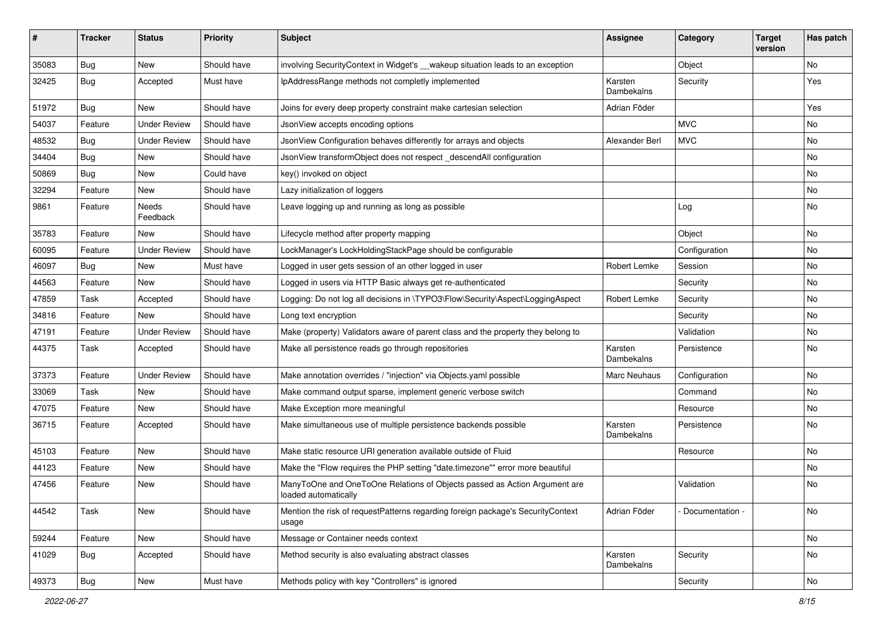| ∦     | <b>Tracker</b> | <b>Status</b>       | <b>Priority</b> | <b>Subject</b>                                                                                    | <b>Assignee</b>       | Category        | <b>Target</b><br>version | Has patch |
|-------|----------------|---------------------|-----------------|---------------------------------------------------------------------------------------------------|-----------------------|-----------------|--------------------------|-----------|
| 35083 | Bug            | New                 | Should have     | involving SecurityContext in Widget's __wakeup situation leads to an exception                    |                       | Object          |                          | No        |
| 32425 | <b>Bug</b>     | Accepted            | Must have       | IpAddressRange methods not completly implemented                                                  | Karsten<br>Dambekalns | Security        |                          | Yes       |
| 51972 | Bug            | New                 | Should have     | Joins for every deep property constraint make cartesian selection                                 | Adrian Föder          |                 |                          | Yes       |
| 54037 | Feature        | <b>Under Review</b> | Should have     | JsonView accepts encoding options                                                                 |                       | <b>MVC</b>      |                          | No        |
| 48532 | <b>Bug</b>     | <b>Under Review</b> | Should have     | JsonView Configuration behaves differently for arrays and objects                                 | Alexander Berl        | <b>MVC</b>      |                          | <b>No</b> |
| 34404 | Bug            | New                 | Should have     | JsonView transformObject does not respect descendAll configuration                                |                       |                 |                          | No        |
| 50869 | <b>Bug</b>     | New                 | Could have      | key() invoked on object                                                                           |                       |                 |                          | No        |
| 32294 | Feature        | New                 | Should have     | Lazy initialization of loggers                                                                    |                       |                 |                          | No        |
| 9861  | Feature        | Needs<br>Feedback   | Should have     | Leave logging up and running as long as possible                                                  |                       | Log             |                          | No        |
| 35783 | Feature        | New                 | Should have     | Lifecycle method after property mapping                                                           |                       | Object          |                          | <b>No</b> |
| 60095 | Feature        | <b>Under Review</b> | Should have     | LockManager's LockHoldingStackPage should be configurable                                         |                       | Configuration   |                          | No        |
| 46097 | <b>Bug</b>     | New                 | Must have       | Logged in user gets session of an other logged in user                                            | Robert Lemke          | Session         |                          | No        |
| 44563 | Feature        | New                 | Should have     | Logged in users via HTTP Basic always get re-authenticated                                        |                       | Security        |                          | No        |
| 47859 | Task           | Accepted            | Should have     | Logging: Do not log all decisions in \TYPO3\Flow\Security\Aspect\LoggingAspect                    | Robert Lemke          | Security        |                          | No        |
| 34816 | Feature        | New                 | Should have     | Long text encryption                                                                              |                       | Security        |                          | No        |
| 47191 | Feature        | <b>Under Review</b> | Should have     | Make (property) Validators aware of parent class and the property they belong to                  |                       | Validation      |                          | No        |
| 44375 | Task           | Accepted            | Should have     | Make all persistence reads go through repositories                                                | Karsten<br>Dambekalns | Persistence     |                          | No        |
| 37373 | Feature        | <b>Under Review</b> | Should have     | Make annotation overrides / "injection" via Objects.yaml possible                                 | Marc Neuhaus          | Configuration   |                          | No        |
| 33069 | Task           | New                 | Should have     | Make command output sparse, implement generic verbose switch                                      |                       | Command         |                          | No        |
| 47075 | Feature        | New                 | Should have     | Make Exception more meaningful                                                                    |                       | Resource        |                          | No        |
| 36715 | Feature        | Accepted            | Should have     | Make simultaneous use of multiple persistence backends possible                                   | Karsten<br>Dambekalns | Persistence     |                          | No        |
| 45103 | Feature        | New                 | Should have     | Make static resource URI generation available outside of Fluid                                    |                       | Resource        |                          | No        |
| 44123 | Feature        | New                 | Should have     | Make the "Flow requires the PHP setting "date.timezone"" error more beautiful                     |                       |                 |                          | No        |
| 47456 | Feature        | New                 | Should have     | ManyToOne and OneToOne Relations of Objects passed as Action Argument are<br>loaded automatically |                       | Validation      |                          | No        |
| 44542 | Task           | New                 | Should have     | Mention the risk of requestPatterns regarding foreign package's SecurityContext<br>usage          | Adrian Föder          | Documentation - |                          | No        |
| 59244 | Feature        | New                 | Should have     | Message or Container needs context                                                                |                       |                 |                          | No        |
| 41029 | <b>Bug</b>     | Accepted            | Should have     | Method security is also evaluating abstract classes                                               | Karsten<br>Dambekalns | Security        |                          | No        |
| 49373 | Bug            | New                 | Must have       | Methods policy with key "Controllers" is ignored                                                  |                       | Security        |                          | No        |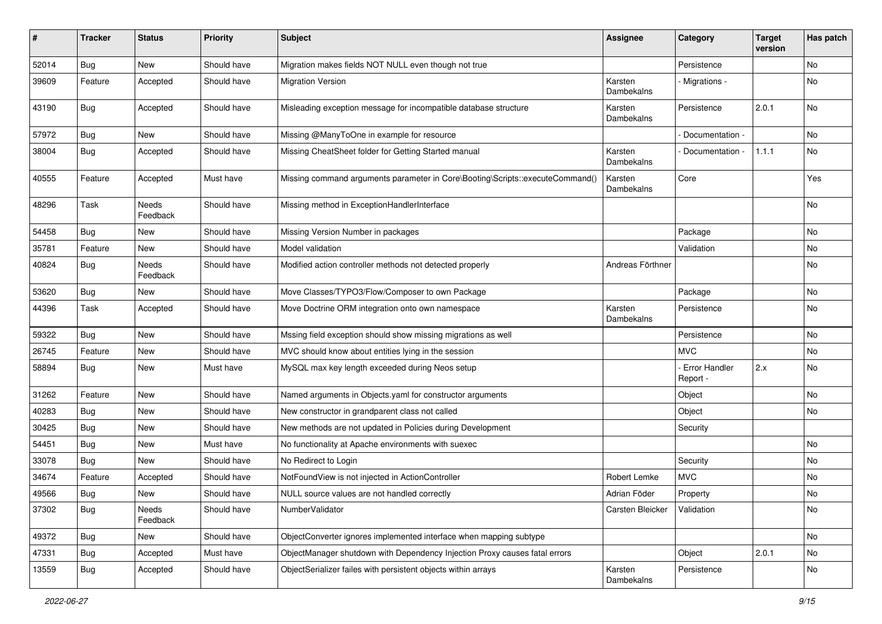| #     | <b>Tracker</b> | <b>Status</b>            | <b>Priority</b> | <b>Subject</b>                                                               | <b>Assignee</b>       | Category                    | <b>Target</b><br>version | Has patch |
|-------|----------------|--------------------------|-----------------|------------------------------------------------------------------------------|-----------------------|-----------------------------|--------------------------|-----------|
| 52014 | Bug            | New                      | Should have     | Migration makes fields NOT NULL even though not true                         |                       | Persistence                 |                          | No        |
| 39609 | Feature        | Accepted                 | Should have     | <b>Migration Version</b>                                                     | Karsten<br>Dambekalns | Migrations -                |                          | No        |
| 43190 | <b>Bug</b>     | Accepted                 | Should have     | Misleading exception message for incompatible database structure             | Karsten<br>Dambekalns | Persistence                 | 2.0.1                    | No        |
| 57972 | Bug            | New                      | Should have     | Missing @ManyToOne in example for resource                                   |                       | Documentation -             |                          | <b>No</b> |
| 38004 | Bug            | Accepted                 | Should have     | Missing CheatSheet folder for Getting Started manual                         | Karsten<br>Dambekalns | Documentation -             | 1.1.1                    | No        |
| 40555 | Feature        | Accepted                 | Must have       | Missing command arguments parameter in Core\Booting\Scripts::executeCommand( | Karsten<br>Dambekalns | Core                        |                          | Yes       |
| 48296 | Task           | <b>Needs</b><br>Feedback | Should have     | Missing method in ExceptionHandlerInterface                                  |                       |                             |                          | No        |
| 54458 | Bug            | New                      | Should have     | Missing Version Number in packages                                           |                       | Package                     |                          | <b>No</b> |
| 35781 | Feature        | New                      | Should have     | Model validation                                                             |                       | Validation                  |                          | No        |
| 40824 | Bug            | <b>Needs</b><br>Feedback | Should have     | Modified action controller methods not detected properly                     | Andreas Förthner      |                             |                          | No        |
| 53620 | Bug            | New                      | Should have     | Move Classes/TYPO3/Flow/Composer to own Package                              |                       | Package                     |                          | No        |
| 44396 | Task           | Accepted                 | Should have     | Move Doctrine ORM integration onto own namespace                             | Karsten<br>Dambekalns | Persistence                 |                          | No        |
| 59322 | <b>Bug</b>     | New                      | Should have     | Mssing field exception should show missing migrations as well                |                       | Persistence                 |                          | No        |
| 26745 | Feature        | New                      | Should have     | MVC should know about entities lying in the session                          |                       | MVC.                        |                          | No        |
| 58894 | <b>Bug</b>     | New                      | Must have       | MySQL max key length exceeded during Neos setup                              |                       | - Error Handler<br>Report - | 2.x                      | No        |
| 31262 | Feature        | New                      | Should have     | Named arguments in Objects.yaml for constructor arguments                    |                       | Object                      |                          | No        |
| 40283 | Bug            | New                      | Should have     | New constructor in grandparent class not called                              |                       | Object                      |                          | <b>No</b> |
| 30425 | <b>Bug</b>     | New                      | Should have     | New methods are not updated in Policies during Development                   |                       | Security                    |                          |           |
| 54451 | <b>Bug</b>     | New                      | Must have       | No functionality at Apache environments with suexec                          |                       |                             |                          | No        |
| 33078 | Bug            | New                      | Should have     | No Redirect to Login                                                         |                       | Security                    |                          | No        |
| 34674 | Feature        | Accepted                 | Should have     | NotFoundView is not injected in ActionController                             | Robert Lemke          | <b>MVC</b>                  |                          | No        |
| 49566 | <b>Bug</b>     | New                      | Should have     | NULL source values are not handled correctly                                 | Adrian Föder          | Property                    |                          | No        |
| 37302 | <b>Bug</b>     | Needs<br>Feedback        | Should have     | NumberValidator                                                              | Carsten Bleicker      | Validation                  |                          | No        |
| 49372 | <b>Bug</b>     | New                      | Should have     | ObjectConverter ignores implemented interface when mapping subtype           |                       |                             |                          | No        |
| 47331 | <b>Bug</b>     | Accepted                 | Must have       | ObjectManager shutdown with Dependency Injection Proxy causes fatal errors   |                       | Object                      | 2.0.1                    | No        |
| 13559 | <b>Bug</b>     | Accepted                 | Should have     | ObjectSerializer failes with persistent objects within arrays                | Karsten<br>Dambekalns | Persistence                 |                          | No        |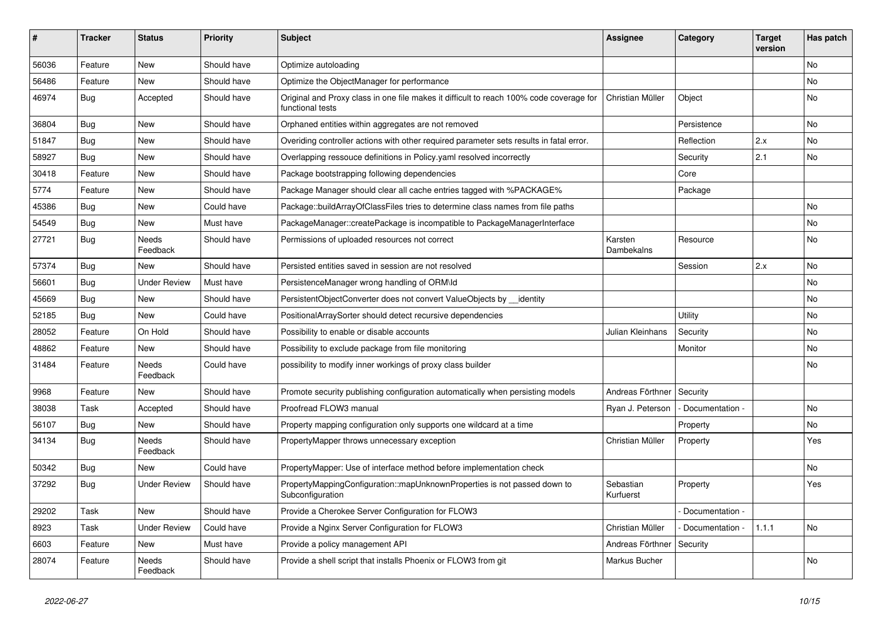| ∦     | <b>Tracker</b> | <b>Status</b>            | <b>Priority</b> | <b>Subject</b>                                                                                              | <b>Assignee</b>        | Category        | <b>Target</b><br>version | Has patch |
|-------|----------------|--------------------------|-----------------|-------------------------------------------------------------------------------------------------------------|------------------------|-----------------|--------------------------|-----------|
| 56036 | Feature        | New                      | Should have     | Optimize autoloading                                                                                        |                        |                 |                          | No        |
| 56486 | Feature        | New                      | Should have     | Optimize the ObjectManager for performance                                                                  |                        |                 |                          | No        |
| 46974 | <b>Bug</b>     | Accepted                 | Should have     | Original and Proxy class in one file makes it difficult to reach 100% code coverage for<br>functional tests | Christian Müller       | Object          |                          | No        |
| 36804 | Bug            | <b>New</b>               | Should have     | Orphaned entities within aggregates are not removed                                                         |                        | Persistence     |                          | No        |
| 51847 | <b>Bug</b>     | New                      | Should have     | Overiding controller actions with other required parameter sets results in fatal error.                     |                        | Reflection      | 2.x                      | No        |
| 58927 | <b>Bug</b>     | New                      | Should have     | Overlapping ressouce definitions in Policy yaml resolved incorrectly                                        |                        | Security        | 2.1                      | No        |
| 30418 | Feature        | New                      | Should have     | Package bootstrapping following dependencies                                                                |                        | Core            |                          |           |
| 5774  | Feature        | New                      | Should have     | Package Manager should clear all cache entries tagged with %PACKAGE%                                        |                        | Package         |                          |           |
| 45386 | <b>Bug</b>     | New                      | Could have      | Package::buildArrayOfClassFiles tries to determine class names from file paths                              |                        |                 |                          | No        |
| 54549 | <b>Bug</b>     | New                      | Must have       | PackageManager::createPackage is incompatible to PackageManagerInterface                                    |                        |                 |                          | No        |
| 27721 | Bug            | <b>Needs</b><br>Feedback | Should have     | Permissions of uploaded resources not correct                                                               | Karsten<br>Dambekalns  | Resource        |                          | No        |
| 57374 | Bug            | New                      | Should have     | Persisted entities saved in session are not resolved                                                        |                        | Session         | 2.x                      | No        |
| 56601 | <b>Bug</b>     | <b>Under Review</b>      | Must have       | PersistenceManager wrong handling of ORM\ld                                                                 |                        |                 |                          | No        |
| 45669 | <b>Bug</b>     | New                      | Should have     | PersistentObjectConverter does not convert ValueObjects by __identity                                       |                        |                 |                          | No        |
| 52185 | Bug            | New                      | Could have      | PositionalArraySorter should detect recursive dependencies                                                  |                        | Utility         |                          | No        |
| 28052 | Feature        | On Hold                  | Should have     | Possibility to enable or disable accounts                                                                   | Julian Kleinhans       | Security        |                          | No        |
| 48862 | Feature        | New                      | Should have     | Possibility to exclude package from file monitoring                                                         |                        | Monitor         |                          | No        |
| 31484 | Feature        | Needs<br>Feedback        | Could have      | possibility to modify inner workings of proxy class builder                                                 |                        |                 |                          | No        |
| 9968  | Feature        | New                      | Should have     | Promote security publishing configuration automatically when persisting models                              | Andreas Förthner       | Security        |                          |           |
| 38038 | Task           | Accepted                 | Should have     | Proofread FLOW3 manual                                                                                      | Ryan J. Peterson       | Documentation - |                          | No        |
| 56107 | <b>Bug</b>     | New                      | Should have     | Property mapping configuration only supports one wildcard at a time                                         |                        | Property        |                          | No        |
| 34134 | Bug            | Needs<br>Feedback        | Should have     | PropertyMapper throws unnecessary exception                                                                 | Christian Müller       | Property        |                          | Yes       |
| 50342 | <b>Bug</b>     | New                      | Could have      | PropertyMapper: Use of interface method before implementation check                                         |                        |                 |                          | No        |
| 37292 | <b>Bug</b>     | <b>Under Review</b>      | Should have     | PropertyMappingConfiguration::mapUnknownProperties is not passed down to<br>Subconfiguration                | Sebastian<br>Kurfuerst | Property        |                          | Yes       |
| 29202 | Task           | New                      | Should have     | Provide a Cherokee Server Configuration for FLOW3                                                           |                        | Documentation - |                          |           |
| 8923  | Task           | <b>Under Review</b>      | Could have      | Provide a Nginx Server Configuration for FLOW3                                                              | Christian Müller       | Documentation - | 1.1.1                    | No        |
| 6603  | Feature        | New                      | Must have       | Provide a policy management API                                                                             | Andreas Förthner       | Security        |                          |           |
| 28074 | Feature        | Needs<br>Feedback        | Should have     | Provide a shell script that installs Phoenix or FLOW3 from git                                              | Markus Bucher          |                 |                          | No        |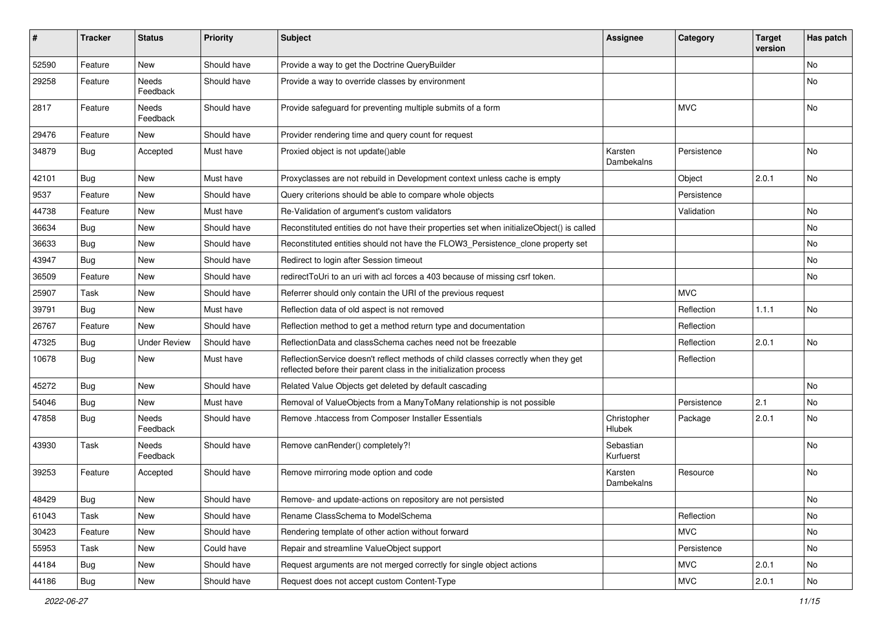| $\pmb{\#}$ | <b>Tracker</b> | <b>Status</b>       | <b>Priority</b> | <b>Subject</b>                                                                                                                                          | <b>Assignee</b>        | Category    | <b>Target</b><br>version | Has patch |
|------------|----------------|---------------------|-----------------|---------------------------------------------------------------------------------------------------------------------------------------------------------|------------------------|-------------|--------------------------|-----------|
| 52590      | Feature        | <b>New</b>          | Should have     | Provide a way to get the Doctrine QueryBuilder                                                                                                          |                        |             |                          | <b>No</b> |
| 29258      | Feature        | Needs<br>Feedback   | Should have     | Provide a way to override classes by environment                                                                                                        |                        |             |                          | No        |
| 2817       | Feature        | Needs<br>Feedback   | Should have     | Provide safeguard for preventing multiple submits of a form                                                                                             |                        | <b>MVC</b>  |                          | No        |
| 29476      | Feature        | New                 | Should have     | Provider rendering time and query count for request                                                                                                     |                        |             |                          |           |
| 34879      | <b>Bug</b>     | Accepted            | Must have       | Proxied object is not update()able                                                                                                                      | Karsten<br>Dambekalns  | Persistence |                          | No        |
| 42101      | <b>Bug</b>     | New                 | Must have       | Proxyclasses are not rebuild in Development context unless cache is empty                                                                               |                        | Object      | 2.0.1                    | No        |
| 9537       | Feature        | New                 | Should have     | Query criterions should be able to compare whole objects                                                                                                |                        | Persistence |                          |           |
| 44738      | Feature        | New                 | Must have       | Re-Validation of argument's custom validators                                                                                                           |                        | Validation  |                          | No        |
| 36634      | Bug            | New                 | Should have     | Reconstituted entities do not have their properties set when initializeObject() is called                                                               |                        |             |                          | No        |
| 36633      | <b>Bug</b>     | New                 | Should have     | Reconstituted entities should not have the FLOW3_Persistence_clone property set                                                                         |                        |             |                          | No        |
| 43947      | <b>Bug</b>     | <b>New</b>          | Should have     | Redirect to login after Session timeout                                                                                                                 |                        |             |                          | <b>No</b> |
| 36509      | Feature        | New                 | Should have     | redirectToUri to an uri with acl forces a 403 because of missing csrf token.                                                                            |                        |             |                          | No        |
| 25907      | Task           | New                 | Should have     | Referrer should only contain the URI of the previous request                                                                                            |                        | <b>MVC</b>  |                          |           |
| 39791      | <b>Bug</b>     | New                 | Must have       | Reflection data of old aspect is not removed                                                                                                            |                        | Reflection  | 1.1.1                    | <b>No</b> |
| 26767      | Feature        | New                 | Should have     | Reflection method to get a method return type and documentation                                                                                         |                        | Reflection  |                          |           |
| 47325      | Bug            | <b>Under Review</b> | Should have     | ReflectionData and classSchema caches need not be freezable                                                                                             |                        | Reflection  | 2.0.1                    | <b>No</b> |
| 10678      | <b>Bug</b>     | New                 | Must have       | ReflectionService doesn't reflect methods of child classes correctly when they get<br>reflected before their parent class in the initialization process |                        | Reflection  |                          |           |
| 45272      | Bug            | New                 | Should have     | Related Value Objects get deleted by default cascading                                                                                                  |                        |             |                          | No        |
| 54046      | <b>Bug</b>     | <b>New</b>          | Must have       | Removal of ValueObjects from a ManyToMany relationship is not possible                                                                                  |                        | Persistence | 2.1                      | <b>No</b> |
| 47858      | Bug            | Needs<br>Feedback   | Should have     | Remove .htaccess from Composer Installer Essentials                                                                                                     | Christopher<br>Hlubek  | Package     | 2.0.1                    | No        |
| 43930      | Task           | Needs<br>Feedback   | Should have     | Remove canRender() completely?!                                                                                                                         | Sebastian<br>Kurfuerst |             |                          | No        |
| 39253      | Feature        | Accepted            | Should have     | Remove mirroring mode option and code                                                                                                                   | Karsten<br>Dambekalns  | Resource    |                          | <b>No</b> |
| 48429      | <b>Bug</b>     | New                 | Should have     | Remove- and update-actions on repository are not persisted                                                                                              |                        |             |                          | No        |
| 61043      | Task           | New                 | Should have     | Rename ClassSchema to ModelSchema                                                                                                                       |                        | Reflection  |                          | No        |
| 30423      | Feature        | New                 | Should have     | Rendering template of other action without forward                                                                                                      |                        | <b>MVC</b>  |                          | No        |
| 55953      | Task           | New                 | Could have      | Repair and streamline ValueObject support                                                                                                               |                        | Persistence |                          | No        |
| 44184      | <b>Bug</b>     | New                 | Should have     | Request arguments are not merged correctly for single object actions                                                                                    |                        | MVC         | 2.0.1                    | No        |
| 44186      | <b>Bug</b>     | New                 | Should have     | Request does not accept custom Content-Type                                                                                                             |                        | <b>MVC</b>  | 2.0.1                    | No        |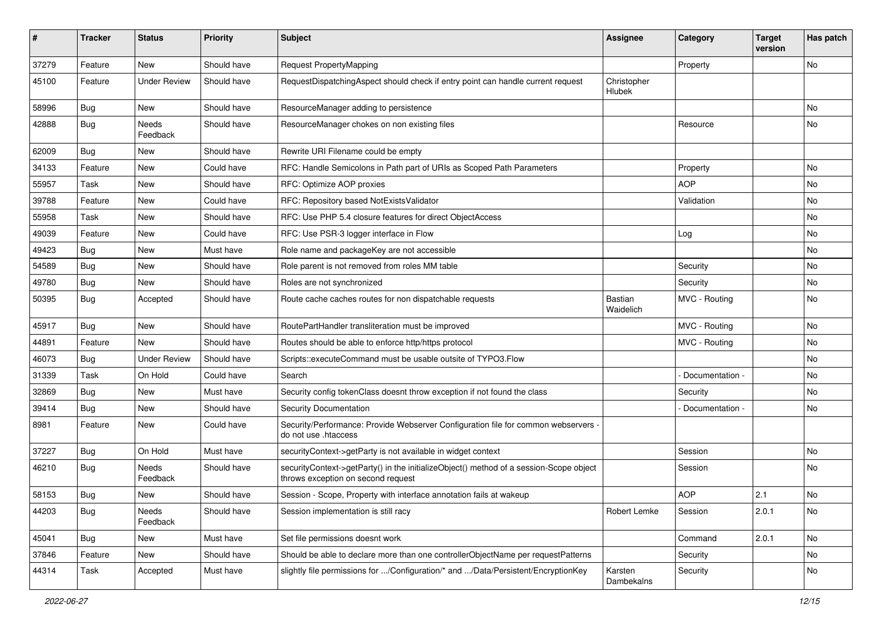| ∦     | <b>Tracker</b> | <b>Status</b>       | <b>Priority</b> | <b>Subject</b>                                                                                                               | Assignee              | Category        | <b>Target</b><br>version | Has patch |
|-------|----------------|---------------------|-----------------|------------------------------------------------------------------------------------------------------------------------------|-----------------------|-----------------|--------------------------|-----------|
| 37279 | Feature        | <b>New</b>          | Should have     | Request PropertyMapping                                                                                                      |                       | Property        |                          | No        |
| 45100 | Feature        | <b>Under Review</b> | Should have     | RequestDispatchingAspect should check if entry point can handle current request                                              | Christopher<br>Hlubek |                 |                          |           |
| 58996 | Bug            | <b>New</b>          | Should have     | ResourceManager adding to persistence                                                                                        |                       |                 |                          | No        |
| 42888 | <b>Bug</b>     | Needs<br>Feedback   | Should have     | ResourceManager chokes on non existing files                                                                                 |                       | Resource        |                          | No        |
| 62009 | <b>Bug</b>     | <b>New</b>          | Should have     | Rewrite URI Filename could be empty                                                                                          |                       |                 |                          |           |
| 34133 | Feature        | <b>New</b>          | Could have      | RFC: Handle Semicolons in Path part of URIs as Scoped Path Parameters                                                        |                       | Property        |                          | No        |
| 55957 | Task           | <b>New</b>          | Should have     | RFC: Optimize AOP proxies                                                                                                    |                       | <b>AOP</b>      |                          | No        |
| 39788 | Feature        | <b>New</b>          | Could have      | RFC: Repository based NotExistsValidator                                                                                     |                       | Validation      |                          | No        |
| 55958 | Task           | <b>New</b>          | Should have     | RFC: Use PHP 5.4 closure features for direct ObjectAccess                                                                    |                       |                 |                          | No        |
| 49039 | Feature        | <b>New</b>          | Could have      | RFC: Use PSR-3 logger interface in Flow                                                                                      |                       | Log             |                          | No        |
| 49423 | <b>Bug</b>     | New                 | Must have       | Role name and packageKey are not accessible                                                                                  |                       |                 |                          | No        |
| 54589 | Bug            | <b>New</b>          | Should have     | Role parent is not removed from roles MM table                                                                               |                       | Security        |                          | No        |
| 49780 | <b>Bug</b>     | New                 | Should have     | Roles are not synchronized                                                                                                   |                       | Security        |                          | No        |
| 50395 | <b>Bug</b>     | Accepted            | Should have     | Route cache caches routes for non dispatchable requests                                                                      | Bastian<br>Waidelich  | MVC - Routing   |                          | No        |
| 45917 | <b>Bug</b>     | <b>New</b>          | Should have     | RoutePartHandler transliteration must be improved                                                                            |                       | MVC - Routing   |                          | No.       |
| 44891 | Feature        | <b>New</b>          | Should have     | Routes should be able to enforce http/https protocol                                                                         |                       | MVC - Routing   |                          | No        |
| 46073 | <b>Bug</b>     | <b>Under Review</b> | Should have     | Scripts::executeCommand must be usable outsite of TYPO3.Flow                                                                 |                       |                 |                          | No        |
| 31339 | Task           | On Hold             | Could have      | Search                                                                                                                       |                       | Documentation - |                          | No        |
| 32869 | Bug            | <b>New</b>          | Must have       | Security config tokenClass doesnt throw exception if not found the class                                                     |                       | Security        |                          | No        |
| 39414 | <b>Bug</b>     | <b>New</b>          | Should have     | Security Documentation                                                                                                       |                       | Documentation - |                          | No        |
| 8981  | Feature        | <b>New</b>          | Could have      | Security/Performance: Provide Webserver Configuration file for common webservers -<br>do not use .htaccess                   |                       |                 |                          |           |
| 37227 | Bug            | On Hold             | Must have       | securityContext->getParty is not available in widget context                                                                 |                       | Session         |                          | No        |
| 46210 | <b>Bug</b>     | Needs<br>Feedback   | Should have     | securityContext->getParty() in the initializeObject() method of a session-Scope object<br>throws exception on second request |                       | Session         |                          | No        |
| 58153 | Bug            | <b>New</b>          | Should have     | Session - Scope, Property with interface annotation fails at wakeup                                                          |                       | <b>AOP</b>      | 2.1                      | No        |
| 44203 | <b>Bug</b>     | Needs<br>Feedback   | Should have     | Session implementation is still racy                                                                                         | Robert Lemke          | Session         | 2.0.1                    | No        |
| 45041 | Bug            | New                 | Must have       | Set file permissions doesnt work                                                                                             |                       | Command         | 2.0.1                    | No        |
| 37846 | Feature        | New                 | Should have     | Should be able to declare more than one controllerObjectName per requestPatterns                                             |                       | Security        |                          | No        |
| 44314 | Task           | Accepted            | Must have       | slightly file permissions for /Configuration/* and /Data/Persistent/EncryptionKey                                            | Karsten<br>Dambekalns | Security        |                          | No        |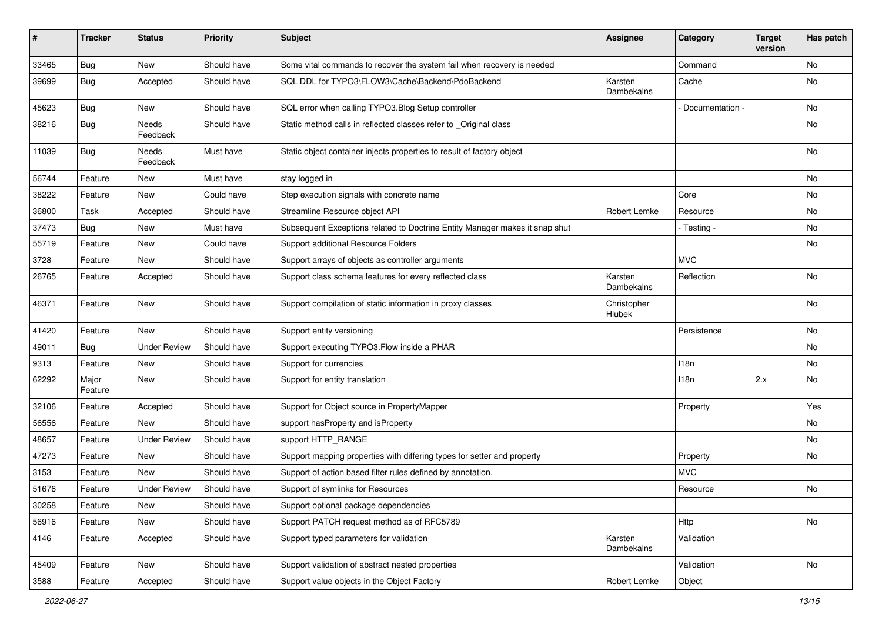| #     | <b>Tracker</b>   | <b>Status</b>       | <b>Priority</b> | <b>Subject</b>                                                              | Assignee              | Category        | <b>Target</b><br>version | Has patch |
|-------|------------------|---------------------|-----------------|-----------------------------------------------------------------------------|-----------------------|-----------------|--------------------------|-----------|
| 33465 | Bug              | New                 | Should have     | Some vital commands to recover the system fail when recovery is needed      |                       | Command         |                          | No        |
| 39699 | Bug              | Accepted            | Should have     | SQL DDL for TYPO3\FLOW3\Cache\Backend\PdoBackend                            | Karsten<br>Dambekalns | Cache           |                          | No        |
| 45623 | <b>Bug</b>       | <b>New</b>          | Should have     | SQL error when calling TYPO3. Blog Setup controller                         |                       | Documentation - |                          | <b>No</b> |
| 38216 | <b>Bug</b>       | Needs<br>Feedback   | Should have     | Static method calls in reflected classes refer to _Original class           |                       |                 |                          | No        |
| 11039 | <b>Bug</b>       | Needs<br>Feedback   | Must have       | Static object container injects properties to result of factory object      |                       |                 |                          | No        |
| 56744 | Feature          | New                 | Must have       | stay logged in                                                              |                       |                 |                          | <b>No</b> |
| 38222 | Feature          | New                 | Could have      | Step execution signals with concrete name                                   |                       | Core            |                          | No        |
| 36800 | Task             | Accepted            | Should have     | Streamline Resource object API                                              | Robert Lemke          | Resource        |                          | No        |
| 37473 | Bug              | New                 | Must have       | Subsequent Exceptions related to Doctrine Entity Manager makes it snap shut |                       | - Testing -     |                          | No        |
| 55719 | Feature          | New                 | Could have      | Support additional Resource Folders                                         |                       |                 |                          | No        |
| 3728  | Feature          | New                 | Should have     | Support arrays of objects as controller arguments                           |                       | <b>MVC</b>      |                          |           |
| 26765 | Feature          | Accepted            | Should have     | Support class schema features for every reflected class                     | Karsten<br>Dambekalns | Reflection      |                          | No        |
| 46371 | Feature          | New                 | Should have     | Support compilation of static information in proxy classes                  | Christopher<br>Hlubek |                 |                          | No        |
| 41420 | Feature          | New                 | Should have     | Support entity versioning                                                   |                       | Persistence     |                          | No        |
| 49011 | Bug              | <b>Under Review</b> | Should have     | Support executing TYPO3.Flow inside a PHAR                                  |                       |                 |                          | No        |
| 9313  | Feature          | New                 | Should have     | Support for currencies                                                      |                       | 118n            |                          | No        |
| 62292 | Major<br>Feature | New                 | Should have     | Support for entity translation                                              |                       | 118n            | 2.x                      | No        |
| 32106 | Feature          | Accepted            | Should have     | Support for Object source in PropertyMapper                                 |                       | Property        |                          | Yes       |
| 56556 | Feature          | New                 | Should have     | support hasProperty and isProperty                                          |                       |                 |                          | No        |
| 48657 | Feature          | <b>Under Review</b> | Should have     | support HTTP_RANGE                                                          |                       |                 |                          | No        |
| 47273 | Feature          | New                 | Should have     | Support mapping properties with differing types for setter and property     |                       | Property        |                          | No        |
| 3153  | Feature          | <b>New</b>          | Should have     | Support of action based filter rules defined by annotation.                 |                       | <b>MVC</b>      |                          |           |
| 51676 | Feature          | <b>Under Review</b> | Should have     | Support of symlinks for Resources                                           |                       | Resource        |                          | No        |
| 30258 | Feature          | New                 | Should have     | Support optional package dependencies                                       |                       |                 |                          |           |
| 56916 | Feature          | New                 | Should have     | Support PATCH request method as of RFC5789                                  |                       | Http            |                          | No        |
| 4146  | Feature          | Accepted            | Should have     | Support typed parameters for validation                                     | Karsten<br>Dambekalns | Validation      |                          |           |
| 45409 | Feature          | New                 | Should have     | Support validation of abstract nested properties                            |                       | Validation      |                          | No        |
| 3588  | Feature          | Accepted            | Should have     | Support value objects in the Object Factory                                 | Robert Lemke          | Object          |                          |           |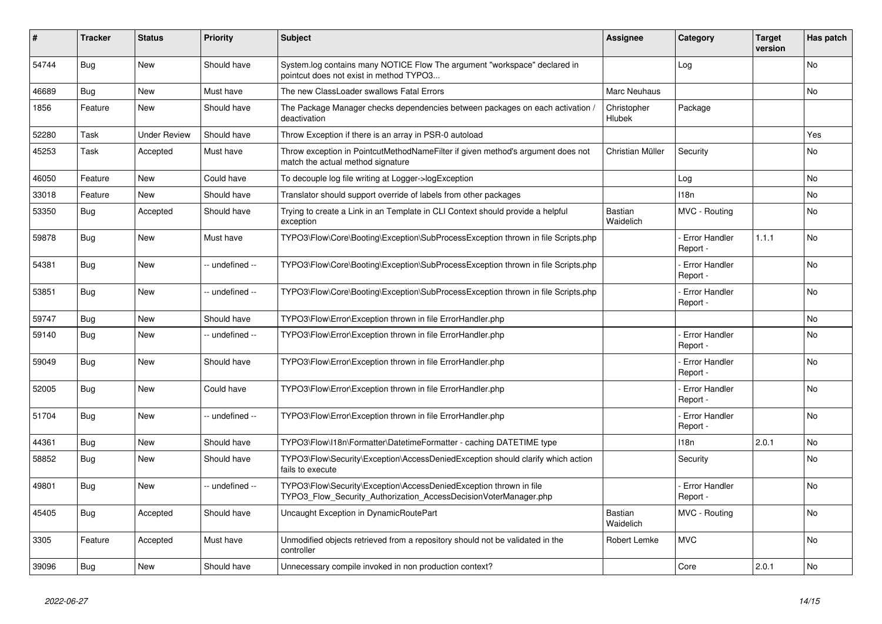| #     | <b>Tracker</b> | <b>Status</b>       | <b>Priority</b> | <b>Subject</b>                                                                                                                         | <b>Assignee</b>             | Category                         | <b>Target</b><br>version | Has patch |
|-------|----------------|---------------------|-----------------|----------------------------------------------------------------------------------------------------------------------------------------|-----------------------------|----------------------------------|--------------------------|-----------|
| 54744 | <b>Bug</b>     | <b>New</b>          | Should have     | System.log contains many NOTICE Flow The argument "workspace" declared in<br>pointcut does not exist in method TYPO3                   |                             | Log                              |                          | <b>No</b> |
| 46689 | Bug            | <b>New</b>          | Must have       | The new ClassLoader swallows Fatal Errors                                                                                              | Marc Neuhaus                |                                  |                          | <b>No</b> |
| 1856  | Feature        | <b>New</b>          | Should have     | The Package Manager checks dependencies between packages on each activation,<br>deactivation                                           | Christopher<br>Hlubek       | Package                          |                          |           |
| 52280 | Task           | <b>Under Review</b> | Should have     | Throw Exception if there is an array in PSR-0 autoload                                                                                 |                             |                                  |                          | Yes       |
| 45253 | Task           | Accepted            | Must have       | Throw exception in PointcutMethodNameFilter if given method's argument does not<br>match the actual method signature                   | Christian Müller            | Security                         |                          | <b>No</b> |
| 46050 | Feature        | <b>New</b>          | Could have      | To decouple log file writing at Logger->logException                                                                                   |                             | Log                              |                          | No        |
| 33018 | Feature        | <b>New</b>          | Should have     | Translator should support override of labels from other packages                                                                       |                             | 118n                             |                          | No        |
| 53350 | Bug            | Accepted            | Should have     | Trying to create a Link in an Template in CLI Context should provide a helpful<br>exception                                            | Bastian<br>Waidelich        | MVC - Routing                    |                          | No        |
| 59878 | Bug            | <b>New</b>          | Must have       | TYPO3\Flow\Core\Booting\Exception\SubProcessException thrown in file Scripts.php                                                       |                             | Error Handler<br>Report -        | 1.1.1                    | <b>No</b> |
| 54381 | Bug            | <b>New</b>          | -- undefined -- | TYPO3\Flow\Core\Booting\Exception\SubProcessException thrown in file Scripts.php                                                       |                             | <b>Error Handler</b><br>Report - |                          | <b>No</b> |
| 53851 | <b>Bug</b>     | <b>New</b>          | -- undefined -- | TYPO3\Flow\Core\Booting\Exception\SubProcessException thrown in file Scripts.php                                                       |                             | <b>Error Handler</b><br>Report - |                          | <b>No</b> |
| 59747 | <b>Bug</b>     | <b>New</b>          | Should have     | TYPO3\Flow\Error\Exception thrown in file ErrorHandler.php                                                                             |                             |                                  |                          | No        |
| 59140 | Bug            | <b>New</b>          | -- undefined -- | TYPO3\Flow\Error\Exception thrown in file ErrorHandler.php                                                                             |                             | Error Handler<br>Report -        |                          | <b>No</b> |
| 59049 | Bug            | <b>New</b>          | Should have     | TYPO3\Flow\Error\Exception thrown in file ErrorHandler.php                                                                             |                             | <b>Error Handler</b><br>Report - |                          | <b>No</b> |
| 52005 | Bug            | <b>New</b>          | Could have      | TYPO3\Flow\Error\Exception thrown in file ErrorHandler.php                                                                             |                             | <b>Error Handler</b><br>Report - |                          | <b>No</b> |
| 51704 | Bug            | New                 | -- undefined -- | TYPO3\Flow\Error\Exception thrown in file ErrorHandler.php                                                                             |                             | <b>Error Handler</b><br>Report - |                          | <b>No</b> |
| 44361 | Bug            | <b>New</b>          | Should have     | TYPO3\Flow\I18n\Formatter\DatetimeFormatter - caching DATETIME type                                                                    |                             | 118n                             | 2.0.1                    | <b>No</b> |
| 58852 | Bug            | New                 | Should have     | TYPO3\Flow\Security\Exception\AccessDeniedException should clarify which action<br>fails to execute                                    |                             | Security                         |                          | <b>No</b> |
| 49801 | Bug            | <b>New</b>          | -- undefined -- | TYPO3\Flow\Security\Exception\AccessDeniedException thrown in file<br>TYPO3 Flow Security Authorization AccessDecisionVoterManager.php |                             | Error Handler<br>Report -        |                          | <b>No</b> |
| 45405 | <b>Bug</b>     | Accepted            | Should have     | Uncaught Exception in DynamicRoutePart                                                                                                 | <b>Bastian</b><br>Waidelich | MVC - Routing                    |                          | <b>No</b> |
| 3305  | Feature        | Accepted            | Must have       | Unmodified objects retrieved from a repository should not be validated in the<br>controller                                            | Robert Lemke                | <b>MVC</b>                       |                          | <b>No</b> |
| 39096 | Bug            | New                 | Should have     | Unnecessary compile invoked in non production context?                                                                                 |                             | Core                             | 2.0.1                    | No        |